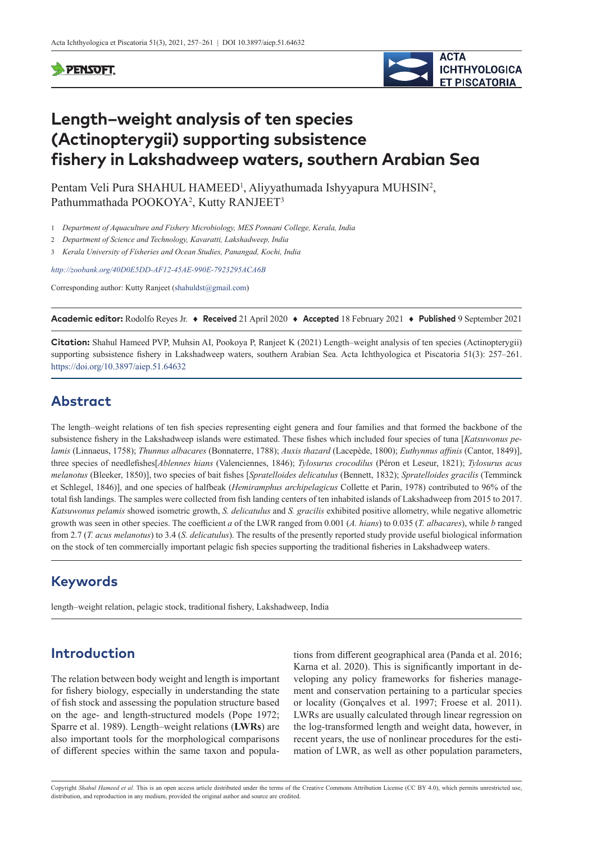#### **SPENSOFT**



# **Length–weight analysis of ten species (Actinopterygii) supporting subsistence fishery in Lakshadweep waters, southern Arabian Sea**

Pentam Veli Pura SHAHUL HAMEED<sup>1</sup>, Aliyyathumada Ishyyapura MUHSIN<sup>2</sup>, Pathummathada POOKOYA<sup>2</sup>, Kutty RANJEET<sup>3</sup>

1 *Department of Aquaculture and Fishery Microbiology, MES Ponnani College, Kerala, India*

2 *Department of Science and Technology, Kavaratti, Lakshadweep, India*

3 *Kerala University of Fisheries and Ocean Studies, Panangad, Kochi, India*

*<http://zoobank.org/40D0E5DD-AF12-45AE-990E-7923295ACA6B>*

Corresponding author: Kutty Ranjeet ([shahuldst@gmail.com](mailto:shahuldst@gmail.com))

**Academic editor:** Rodolfo Reyes Jr. ♦ **Received** 21 April 2020 ♦ **Accepted** 18 February 2021 ♦ **Published** 9 September 2021

**Citation:** Shahul Hameed PVP, Muhsin AI, Pookoya P, Ranjeet K (2021) Length–weight analysis of ten species (Actinopterygii) supporting subsistence fishery in Lakshadweep waters, southern Arabian Sea. Acta Ichthyologica et Piscatoria 51(3): 257–261. <https://doi.org/10.3897/aiep.51.64632>

### **Abstract**

The length–weight relations of ten fish species representing eight genera and four families and that formed the backbone of the subsistence fishery in the Lakshadweep islands were estimated. These fishes which included four species of tuna [*Katsuwonus pelamis* (Linnaeus, 1758); *Thunnus albacares* (Bonnaterre, 1788); *Auxis thazard* (Lacepède, 1800); *Euthynnus affinis* (Cantor, 1849)], three species of needlefishes[*Ablennes hians* (Valenciennes, 1846); *Tylosurus crocodilus* (Péron et Leseur, 1821); *Tylosurus acus melanotus* (Bleeker, 1850)], two species of bait fishes [*Spratelloides delicatulus* (Bennett, 1832); *Spratelloides gracilis* (Temminck et Schlegel, 1846)], and one species of halfbeak (*Hemiramphus archipelagicus* Collette et Parin, 1978) contributed to 96% of the total fish landings. The samples were collected from fish landing centers of ten inhabited islands of Lakshadweep from 2015 to 2017. *Katsuwonus pelamis* showed isometric growth, *S. delicatulus* and *S. gracilis* exhibited positive allometry, while negative allometric growth was seen in other species. The coefficient *a* of the LWR ranged from 0.001 (*A. hians*) to 0.035 (*T. albacares*), while *b* ranged from 2.7 (*T. acus melanotus*) to 3.4 (*S. delicatulus*). The results of the presently reported study provide useful biological information on the stock of ten commercially important pelagic fish species supporting the traditional fisheries in Lakshadweep waters.

## **Keywords**

length–weight relation, pelagic stock, traditional fishery, Lakshadweep, India

## **Introduction**

The relation between body weight and length is important for fishery biology, especially in understanding the state of fish stock and assessing the population structure based on the age- and length-structured models (Pope 1972; Sparre et al. 1989). Length–weight relations (**LWRs**) are also important tools for the morphological comparisons of different species within the same taxon and popula-

tions from different geographical area (Panda et al. 2016; Karna et al. 2020). This is significantly important in developing any policy frameworks for fisheries management and conservation pertaining to a particular species or locality (Gonçalves et al. 1997; Froese et al. 2011). LWRs are usually calculated through linear regression on the log-transformed length and weight data, however, in recent years, the use of nonlinear procedures for the estimation of LWR, as well as other population parameters,

Copyright *Shahul Hameed et al.* This is an open access article distributed under the terms of the [Creative Commons Attribution License \(CC BY 4.0\)](http://creativecommons.org/licenses/by/4.0/), which permits unrestricted use, distribution, and reproduction in any medium, provided the original author and source are credited.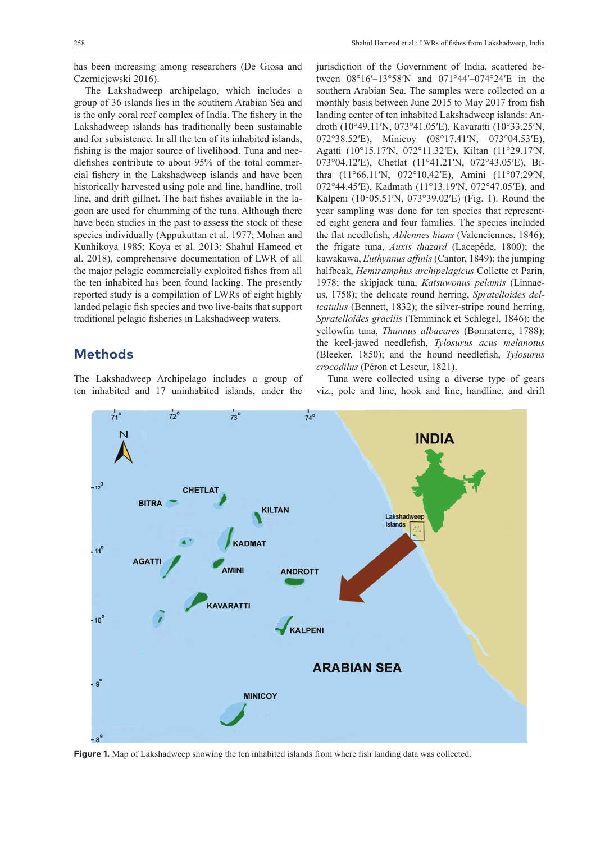The Lakshadweep archipelago, which includes a group of 36 islands lies in the southern Arabian Sea and is the only coral reef complex of India. The fishery in the Lakshadweep islands has traditionally been sustainable and for subsistence. In all the ten of its inhabited islands, fishing is the major source of livelihood. Tuna and needlefishes contribute to about 95% of the total commercial fishery in the Lakshadweep islands and have been historically harvested using pole and line, handline, troll line, and drift gillnet. The bait fishes available in the lagoon are used for chumming of the tuna. Although there have been studies in the past to assess the stock of these species individually (Appukuttan et al. 1977; Mohan and Kunhikoya 1985; Koya et al. 2013; Shahul Hameed et al. 2018), comprehensive documentation of LWR of all the major pelagic commercially exploited fishes from all the ten inhabited has been found lacking. The presently reported study is a compilation of LWRs of eight highly landed pelagic fish species and two live-baits that support traditional pelagic fisheries in Lakshadweep waters.

#### **Methods**

The Lakshadweep Archipelago includes a group of ten inhabited and 17 uninhabited islands, under the jurisdiction of the Government of India, scattered between 08°16′–13°58′N and 071°44′–074°24′E in the southern Arabian Sea. The samples were collected on a monthly basis between June 2015 to May 2017 from fish landing center of ten inhabited Lakshadweep islands: Androth (10°49.11′N, 073°41.05′E), Kavaratti (10°33.25′N, 072°38.52′E), Minicoy (08°17.41′N, 073°04.53′E), Agatti (10°15.17′N, 072°11.32′E), Kiltan (11°29.17′N, 073°04.12′E), Chetlat (11°41.21′N, 072°43.05′E), Bithra (11°66.11′N, 072°10.42′E), Amini (11°07.29′N, 072°44.45′E), Kadmath (11°13.19′N, 072°47.05′E), and Kalpeni (10°05.51′N, 073°39.02′E) (Fig. 1). Round the year sampling was done for ten species that represented eight genera and four families. The species included the flat needlefish, *Ablennes hians* (Valenciennes, 1846); the frigate tuna, *Auxis thazard* (Lacepède, 1800); the kawakawa, *Euthynnus affinis* (Cantor, 1849); the jumping halfbeak, *Hemiramphus archipelagicus* Collette et Parin, 1978; the skipjack tuna, *Katsuwonus pelamis* (Linnaeus, 1758); the delicate round herring, *Spratelloides delicatulus* (Bennett, 1832); the silver-stripe round herring, *Spratelloides gracilis* (Temminck et Schlegel, 1846); the yellowfin tuna, *Thunnus albacares* (Bonnaterre, 1788); the keel-jawed needlefish, *Tylosurus acus melanotus* (Bleeker, 1850); and the hound needlefish, *Tylosurus crocodilus* (Péron et Leseur, 1821).

Tuna were collected using a diverse type of gears viz., pole and line, hook and line, handline, and drift



**Figure 1.** Map of Lakshadweep showing the ten inhabited islands from where fish landing data was collected.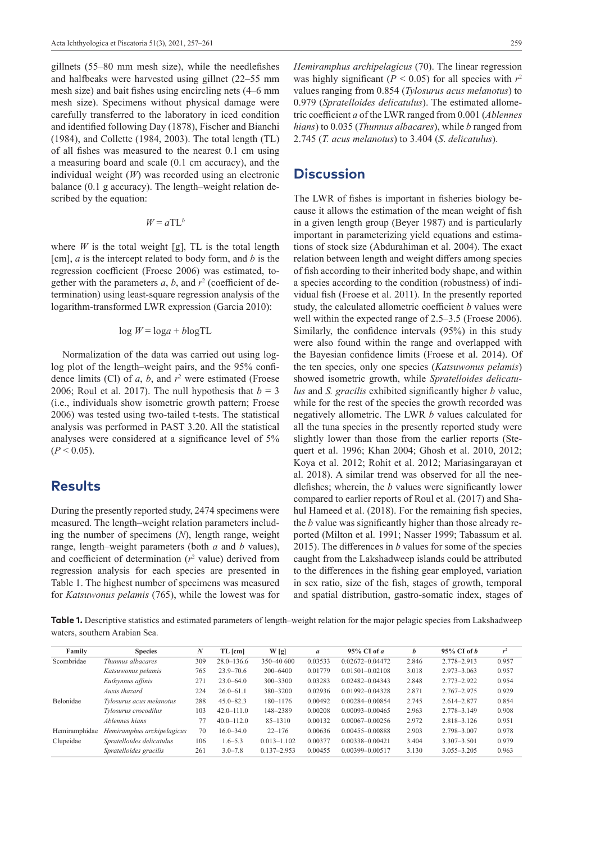gillnets (55–80 mm mesh size), while the needlefishes and halfbeaks were harvested using gillnet (22–55 mm mesh size) and bait fishes using encircling nets (4–6 mm mesh size). Specimens without physical damage were carefully transferred to the laboratory in iced condition and identified following Day (1878), Fischer and Bianchi (1984), and Collette (1984, 2003). The total length (TL) of all fishes was measured to the nearest 0.1 cm using a measuring board and scale (0.1 cm accuracy), and the individual weight (*W*) was recorded using an electronic balance (0.1 g accuracy). The length–weight relation described by the equation:

$$
W = a \mathrm{T} L^b
$$

where  $W$  is the total weight [g], TL is the total length [cm], *a* is the intercept related to body form, and *b* is the regression coefficient (Froese 2006) was estimated, together with the parameters  $a, b$ , and  $r<sup>2</sup>$  (coefficient of determination) using least-square regression analysis of the logarithm-transformed LWR expression (Garcia 2010):

$$
\log W = \log a + b \log \text{TL}
$$

Normalization of the data was carried out using loglog plot of the length–weight pairs, and the 95% confidence limits (Cl) of *a*, *b*, and *r*<sup>2</sup> were estimated (Froese 2006; Roul et al. 2017). The null hypothesis that  $b = 3$ (i.e., individuals show isometric growth pattern; Froese 2006) was tested using two-tailed t-tests. The statistical analysis was performed in PAST 3.20. All the statistical analyses were considered at a significance level of 5%  $(P < 0.05)$ .

#### **Results**

During the presently reported study, 2474 specimens were measured. The length–weight relation parameters including the number of specimens (*N*), length range, weight range, length–weight parameters (both *a* and *b* values), and coefficient of determination  $(r^2 \text{ value})$  derived from regression analysis for each species are presented in Table 1. The highest number of specimens was measured for *Katsuwonus pelamis* (765), while the lowest was for

*Hemiramphus archipelagicus* (70). The linear regression was highly significant ( $P < 0.05$ ) for all species with  $r<sup>2</sup>$ values ranging from 0.854 (*Tylosurus acus melanotus*) to 0.979 (*Spratelloides delicatulus*). The estimated allometric coefficient *a* of the LWR ranged from 0.001 (*Ablennes hians*) to 0.035 (*Thunnus albacares*), while *b* ranged from 2.745 (*T. acus melanotus*) to 3.404 (*S*. *delicatulus*).

#### **Discussion**

The LWR of fishes is important in fisheries biology because it allows the estimation of the mean weight of fish in a given length group (Beyer 1987) and is particularly important in parameterizing yield equations and estimations of stock size (Abdurahiman et al. 2004). The exact relation between length and weight differs among species of fish according to their inherited body shape, and within a species according to the condition (robustness) of individual fish (Froese et al. 2011). In the presently reported study, the calculated allometric coefficient *b* values were well within the expected range of 2.5–3.5 (Froese 2006). Similarly, the confidence intervals (95%) in this study were also found within the range and overlapped with the Bayesian confidence limits (Froese et al. 2014). Of the ten species, only one species (*Katsuwonus pelamis*) showed isometric growth, while *Spratelloides delicatulus* and *S. gracilis* exhibited significantly higher *b* value, while for the rest of the species the growth recorded was negatively allometric. The LWR *b* values calculated for all the tuna species in the presently reported study were slightly lower than those from the earlier reports (Stequert et al. 1996; Khan 2004; Ghosh et al. 2010, 2012; Koya et al. 2012; Rohit et al. 2012; Mariasingarayan et al. 2018). A similar trend was observed for all the needlefishes; wherein, the *b* values were significantly lower compared to earlier reports of Roul et al. (2017) and Shahul Hameed et al. (2018). For the remaining fish species, the *b* value was significantly higher than those already reported (Milton et al. 1991; Nasser 1999; Tabassum et al. 2015). The differences in *b* values for some of the species caught from the Lakshadweep islands could be attributed to the differences in the fishing gear employed, variation in sex ratio, size of the fish, stages of growth, temporal and spatial distribution, gastro-somatic index, stages of

**Table 1.** Descriptive statistics and estimated parameters of length–weight relation for the major pelagic species from Lakshadweep waters, southern Arabian Sea.

| Family        | <b>Species</b>             | N   | TL [cm]        | W[g]            | $\mathfrak a$ | $95\%$ CI of a      | b     | $95\%$ CI of b  | $r^2$ |
|---------------|----------------------------|-----|----------------|-----------------|---------------|---------------------|-------|-----------------|-------|
| Scombridae    | Thunnus albacares          | 309 | $28.0 - 136.6$ | 350-40 600      | 0.03533       | $0.02672 - 0.04472$ | 2.846 | 2.778-2.913     | 0.957 |
|               | Katsuwonus pelamis         | 765 | $23.9 - 70.6$  | $200 - 6400$    | 0.01779       | $0.01501 - 0.02108$ | 3.018 | $2.973 - 3.063$ | 0.957 |
|               | Euthynnus affinis          | 271 | $23.0 - 64.0$  | $300 - 3300$    | 0.03283       | $0.02482 - 0.04343$ | 2.848 | 2.773-2.922     | 0.954 |
|               | Auxis thazard              | 224 | $26.0 - 61.1$  | 380-3200        | 0.02936       | $0.01992 - 0.04328$ | 2.871 | $2.767 - 2.975$ | 0.929 |
| Belonidae     | Tylosurus acus melanotus   | 288 | $45.0 - 82.3$  | 180-1176        | 0.00492       | 0.00284-0.00854     | 2.745 | 2.614-2.877     | 0.854 |
|               | Tylosurus crocodilus       | 103 | $42.0 - 111.0$ | 148-2389        | 0.00208       | $0.00093 - 0.00465$ | 2.963 | 2.778-3.149     | 0.908 |
|               | Ablennes hians             | 77  | $40.0 - 112.0$ | $85 - 1310$     | 0.00132       | $0.00067 - 0.00256$ | 2.972 | $2.818 - 3.126$ | 0.951 |
| Hemiramphidae | Hemiramphus archipelagicus | 70  | $16.0 - 34.0$  | $22 - 176$      | 0.00636       | 0.00455-0.00888     | 2.903 | 2.798-3.007     | 0.978 |
| Clupeidae     | Spratelloides delicatulus  | 106 | $1.6 - 5.3$    | $0.013 - 1.102$ | 0.00377       | 0.00338-0.00421     | 3.404 | $3.307 - 3.501$ | 0.979 |
|               | Spratelloides gracilis     | 261 | $3.0 - 7.8$    | $0.137 - 2.953$ | 0.00455       | 0.00399-0.00517     | 3.130 | $3.055 - 3.205$ | 0.963 |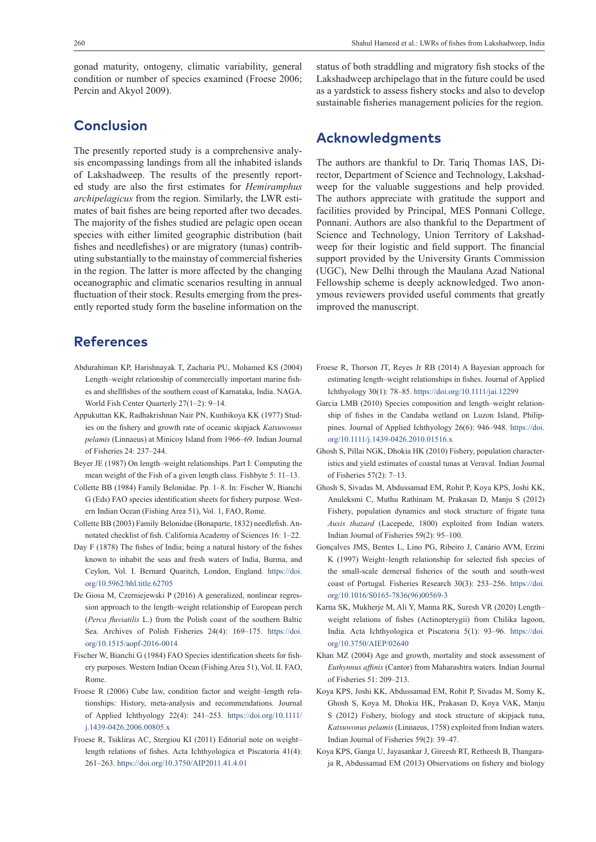gonad maturity, ontogeny, climatic variability, general condition or number of species examined (Froese 2006; Percin and Akyol 2009).

## **Conclusion**

The presently reported study is a comprehensive analysis encompassing landings from all the inhabited islands of Lakshadweep. The results of the presently reported study are also the first estimates for *Hemiramphus archipelagicus* from the region. Similarly, the LWR estimates of bait fishes are being reported after two decades. The majority of the fishes studied are pelagic open ocean species with either limited geographic distribution (bait fishes and needlefishes) or are migratory (tunas) contributing substantially to the mainstay of commercial fisheries in the region. The latter is more affected by the changing oceanographic and climatic scenarios resulting in annual fluctuation of their stock. Results emerging from the presently reported study form the baseline information on the

#### **References**

- Abdurahiman KP, Harishnayak T, Zacharia PU, Mohamed KS (2004) Length–weight relationship of commercially important marine fishes and shellfishes of the southern coast of Karnataka, India. NAGA. World Fish Center Quarterly 27(1–2): 9–14.
- Appukuttan KK, Radhakrishnan Nair PN, Kunhikoya KK (1977) Studies on the fishery and growth rate of oceanic skipjack *Katsuwonus pelamis* (Linnaeus) at Minicoy Island from 1966–69. Indian Journal of Fisheries 24: 237–244.
- Beyer JE (1987) On length–weight relationships. Part I: Computing the mean weight of the Fish of a given length class. Fishbyte 5: 11–13.
- Collette BB (1984) Family Belonidae. Pp. 1–8. In: Fischer W, Bianchi G (Eds) FAO species identification sheets for fishery purpose. Western Indian Ocean (Fishing Area 51), Vol. 1, FAO, Rome.
- Collette BB (2003) Family Belonidae (Bonaparte, 1832) needlefish. Annotated checklist of fish. California Academy of Sciences 16: 1–22.
- Day F (1878) The fishes of India; being a natural history of the fishes known to inhabit the seas and fresh waters of India, Burma, and Ceylon, Vol. I. Bernard Quaritch, London, England. [https://doi.](https://doi.org/10.5962/bhl.title.62705) [org/10.5962/bhl.title.62705](https://doi.org/10.5962/bhl.title.62705)
- De Giosa M, Czerniejewski P (2016) A generalized, nonlinear regression approach to the length–weight relationship of European perch (*Perca fluviatilis* L.) from the Polish coast of the southern Baltic Sea. Archives of Polish Fisheries 24(4): 169–175. [https://doi.](https://doi.org/10.1515/aopf-2016-0014) [org/10.1515/aopf-2016-0014](https://doi.org/10.1515/aopf-2016-0014)
- Fischer W, Bianchi G (1984) FAO Species identification sheets for fishery purposes. Western Indian Ocean (Fishing Area 51), Vol. II. FAO, Rome.
- Froese R (2006) Cube law, condition factor and weight–length relationships: History, meta-analysis and recommendations. Journal of Applied Ichthyology 22(4): 241–253. [https://doi.org/10.1111/](https://doi.org/10.1111/j.1439-0426.2006.00805.x) [j.1439-0426.2006.00805.x](https://doi.org/10.1111/j.1439-0426.2006.00805.x)
- Froese R, Tsikliras AC, Stergiou KI (2011) Editorial note on weight– length relations of fishes. Acta Ichthyologica et Piscatoria 41(4): 261–263.<https://doi.org/10.3750/AIP2011.41.4.01>

status of both straddling and migratory fish stocks of the Lakshadweep archipelago that in the future could be used as a yardstick to assess fishery stocks and also to develop sustainable fisheries management policies for the region.

#### **Acknowledgments**

The authors are thankful to Dr. Tariq Thomas IAS, Director, Department of Science and Technology, Lakshadweep for the valuable suggestions and help provided. The authors appreciate with gratitude the support and facilities provided by Principal, MES Ponnani College, Ponnani. Authors are also thankful to the Department of Science and Technology, Union Territory of Lakshadweep for their logistic and field support. The financial support provided by the University Grants Commission (UGC), New Delhi through the Maulana Azad National Fellowship scheme is deeply acknowledged. Two anonymous reviewers provided useful comments that greatly improved the manuscript.

- Froese R, Thorson JT, Reyes Jr RB (2014) A Bayesian approach for estimating length–weight relationships in fishes. Journal of Applied Ichthyology 30(1): 78–85. <https://doi.org/10.1111/jai.12299>
- Garcia LMB (2010) Species composition and length–weight relationship of fishes in the Candaba wetland on Luzon Island, Philippines. Journal of Applied Ichthyology 26(6): 946–948. [https://doi.](https://doi.org/10.1111/j.1439-0426.2010.01516.x) [org/10.1111/j.1439-0426.2010.01516.x](https://doi.org/10.1111/j.1439-0426.2010.01516.x)
- Ghosh S, Pillai NGK, Dhokia HK (2010) Fishery, population characteristics and yield estimates of coastal tunas at Veraval. Indian Journal of Fisheries 57(2): 7–13.
- Ghosh S, Sivadas M, Abdussamad EM, Rohit P, Koya KPS, Joshi KK, Anuleksmi C, Muthu Rathinam M, Prakasan D, Manju S (2012) Fishery, population dynamics and stock structure of frigate tuna *Auxis thazard* (Lacepede, 1800) exploited from Indian waters. Indian Journal of Fisheries 59(2): 95–100.
- Gonçalves JMS, Bentes L, Lino PG, Ribeiro J, Canário AVM, Erzini K (1997) Weight–length relationship for selected fish species of the small-scale demersal fisheries of the south and south-west coast of Portugal. Fisheries Research 30(3): 253–256. [https://doi.](https://doi.org/10.1016/S0165-7836(96)00569-3) [org/10.1016/S0165-7836\(96\)00569-3](https://doi.org/10.1016/S0165-7836(96)00569-3)
- Karna SK, Mukherje M, Ali Y, Manna RK, Suresh VR (2020) Length– weight relations of fishes (Actinopterygii) from Chilika lagoon, India. Acta Ichthyologica et Piscatoria 5(1): 93–96. [https://doi.](https://doi.org/10.3750/AIEP/02640) [org/10.3750/AIEP/02640](https://doi.org/10.3750/AIEP/02640)
- Khan MZ (2004) Age and growth, mortality and stock assessment of *Euthynnus affinis* (Cantor) from Maharashtra waters. Indian Journal of Fisheries 51: 209–213.
- Koya KPS, Joshi KK, Abdussamad EM, Rohit P, Sivadas M, Somy K, Ghosh S, Koya M, Dhokia HK, Prakasan D, Koya VAK, Manju S (2012) Fishery, biology and stock structure of skipjack tuna, *Katsuwonus pelamis* (Linnaeus, 1758) exploited from Indian waters. Indian Journal of Fisheries 59(2): 39–47.
- Koya KPS, Ganga U, Jayasankar J, Gireesh RT, Retheesh B, Thangaraja R, Abdussamad EM (2013) Observations on fishery and biology